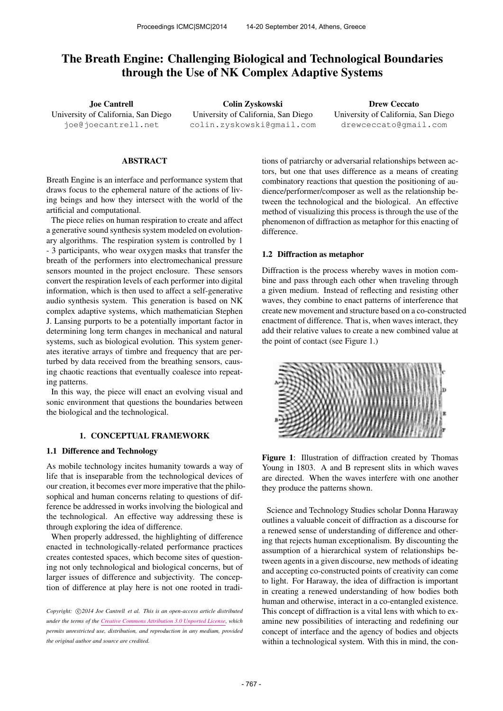# The Breath Engine: Challenging Biological and Technological Boundaries through the Use of NK Complex Adaptive Systems

Joe Cantrell University of California, San Diego [joe@joecantrell.net](mailto:joe@joecantrell.net)

Colin Zyskowski University of California, San Diego [colin.zyskowski@gmail.com](mailto:colin.zyskowski@gmail.com)

Drew Ceccato University of California, San Diego [drewceccato@gmail.com](mailto:drewceccato@gmail.com)

# ABSTRACT

Breath Engine is an interface and performance system that draws focus to the ephemeral nature of the actions of living beings and how they intersect with the world of the artificial and computational.

The piece relies on human respiration to create and affect a generative sound synthesis system modeled on evolutionary algorithms. The respiration system is controlled by 1 - 3 participants, who wear oxygen masks that transfer the breath of the performers into electromechanical pressure sensors mounted in the project enclosure. These sensors convert the respiration levels of each performer into digital information, which is then used to affect a self-generative audio synthesis system. This generation is based on NK complex adaptive systems, which mathematician Stephen J. Lansing purports to be a potentially important factor in determining long term changes in mechanical and natural systems, such as biological evolution. This system generates iterative arrays of timbre and frequency that are perturbed by data received from the breathing sensors, causing chaotic reactions that eventually coalesce into repeating patterns.

In this way, the piece will enact an evolving visual and sonic environment that questions the boundaries between the biological and the technological.

## 1. CONCEPTUAL FRAMEWORK

# 1.1 Difference and Technology

As mobile technology incites humanity towards a way of life that is inseparable from the technological devices of our creation, it becomes ever more imperative that the philosophical and human concerns relating to questions of difference be addressed in works involving the biological and the technological. An effective way addressing these is through exploring the idea of difference.

When properly addressed, the highlighting of difference enacted in technologically-related performance practices creates contested spaces, which become sites of questioning not only technological and biological concerns, but of larger issues of difference and subjectivity. The conception of difference at play here is not one rooted in tradi-

Copyright:  $\bigcirc$ 2014 Joe Cantrell et al. This is an open-access article distributed *under the terms of the [Creative Commons Attribution 3.0 Unported License,](http://creativecommons.org/licenses/by/3.0/) which permits unrestricted use, distribution, and reproduction in any medium, provided the original author and source are credited.*

tions of patriarchy or adversarial relationships between actors, but one that uses difference as a means of creating combinatory reactions that question the positioning of audience/performer/composer as well as the relationship between the technological and the biological. An effective method of visualizing this process is through the use of the phenomenon of diffraction as metaphor for this enacting of difference.

# 1.2 Diffraction as metaphor

Diffraction is the process whereby waves in motion combine and pass through each other when traveling through a given medium. Instead of reflecting and resisting other waves, they combine to enact patterns of interference that create new movement and structure based on a co-constructed enactment of difference. That is, when waves interact, they add their relative values to create a new combined value at the point of contact (see Figure 1.)



Figure 1: Illustration of diffraction created by Thomas Young in 1803. A and B represent slits in which waves are directed. When the waves interfere with one another they produce the patterns shown.

Science and Technology Studies scholar Donna Haraway outlines a valuable conceit of diffraction as a discourse for a renewed sense of understanding of difference and othering that rejects human exceptionalism. By discounting the assumption of a hierarchical system of relationships between agents in a given discourse, new methods of ideating and accepting co-constructed points of creativity can come to light. For Haraway, the idea of diffraction is important in creating a renewed understanding of how bodies both human and otherwise, interact in a co-entangled existence. This concept of diffraction is a vital lens with which to examine new possibilities of interacting and redefining our concept of interface and the agency of bodies and objects within a technological system. With this in mind, the con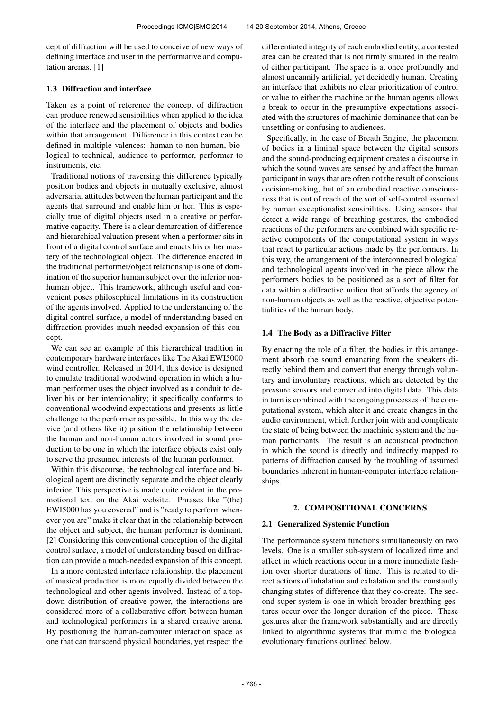cept of diffraction will be used to conceive of new ways of defining interface and user in the performative and computation arenas. [1]

## 1.3 Diffraction and interface

Taken as a point of reference the concept of diffraction can produce renewed sensibilities when applied to the idea of the interface and the placement of objects and bodies within that arrangement. Difference in this context can be defined in multiple valences: human to non-human, biological to technical, audience to performer, performer to instruments, etc.

Traditional notions of traversing this difference typically position bodies and objects in mutually exclusive, almost adversarial attitudes between the human participant and the agents that surround and enable him or her. This is especially true of digital objects used in a creative or performative capacity. There is a clear demarcation of difference and hierarchical valuation present when a performer sits in front of a digital control surface and enacts his or her mastery of the technological object. The difference enacted in the traditional performer/object relationship is one of domination of the superior human subject over the inferior nonhuman object. This framework, although useful and convenient poses philosophical limitations in its construction of the agents involved. Applied to the understanding of the digital control surface, a model of understanding based on diffraction provides much-needed expansion of this concept.

We can see an example of this hierarchical tradition in contemporary hardware interfaces like The Akai EWI5000 wind controller. Released in 2014, this device is designed to emulate traditional woodwind operation in which a human performer uses the object involved as a conduit to deliver his or her intentionality; it specifically conforms to conventional woodwind expectations and presents as little challenge to the performer as possible. In this way the device (and others like it) position the relationship between the human and non-human actors involved in sound production to be one in which the interface objects exist only to serve the presumed interests of the human performer.

Within this discourse, the technological interface and biological agent are distinctly separate and the object clearly inferior. This perspective is made quite evident in the promotional text on the Akai website. Phrases like "(the) EWI5000 has you covered" and is "ready to perform whenever you are" make it clear that in the relationship between the object and subject, the human performer is dominant. [2] Considering this conventional conception of the digital control surface, a model of understanding based on diffraction can provide a much-needed expansion of this concept.

In a more contested interface relationship, the placement of musical production is more equally divided between the technological and other agents involved. Instead of a topdown distribution of creative power, the interactions are considered more of a collaborative effort between human and technological performers in a shared creative arena. By positioning the human-computer interaction space as one that can transcend physical boundaries, yet respect the differentiated integrity of each embodied entity, a contested area can be created that is not firmly situated in the realm of either participant. The space is at once profoundly and almost uncannily artificial, yet decidedly human. Creating an interface that exhibits no clear prioritization of control or value to either the machine or the human agents allows a break to occur in the presumptive expectations associated with the structures of machinic dominance that can be unsettling or confusing to audiences.

Specifically, in the case of Breath Engine, the placement of bodies in a liminal space between the digital sensors and the sound-producing equipment creates a discourse in which the sound waves are sensed by and affect the human participant in ways that are often not the result of conscious decision-making, but of an embodied reactive consciousness that is out of reach of the sort of self-control assumed by human exceptionalist sensibilities. Using sensors that detect a wide range of breathing gestures, the embodied reactions of the performers are combined with specific reactive components of the computational system in ways that react to particular actions made by the performers. In this way, the arrangement of the interconnected biological and technological agents involved in the piece allow the performers bodies to be positioned as a sort of filter for data within a diffractive milieu that affords the agency of non-human objects as well as the reactive, objective potentialities of the human body.

#### 1.4 The Body as a Diffractive Filter

By enacting the role of a filter, the bodies in this arrangement absorb the sound emanating from the speakers directly behind them and convert that energy through voluntary and involuntary reactions, which are detected by the pressure sensors and converted into digital data. This data in turn is combined with the ongoing processes of the computational system, which alter it and create changes in the audio environment, which further join with and complicate the state of being between the machinic system and the human participants. The result is an acoustical production in which the sound is directly and indirectly mapped to patterns of diffraction caused by the troubling of assumed boundaries inherent in human-computer interface relationships.

# 2. COMPOSITIONAL CONCERNS

#### 2.1 Generalized Systemic Function

The performance system functions simultaneously on two levels. One is a smaller sub-system of localized time and affect in which reactions occur in a more immediate fashion over shorter durations of time. This is related to direct actions of inhalation and exhalation and the constantly changing states of difference that they co-create. The second super-system is one in which broader breathing gestures occur over the longer duration of the piece. These gestures alter the framework substantially and are directly linked to algorithmic systems that mimic the biological evolutionary functions outlined below.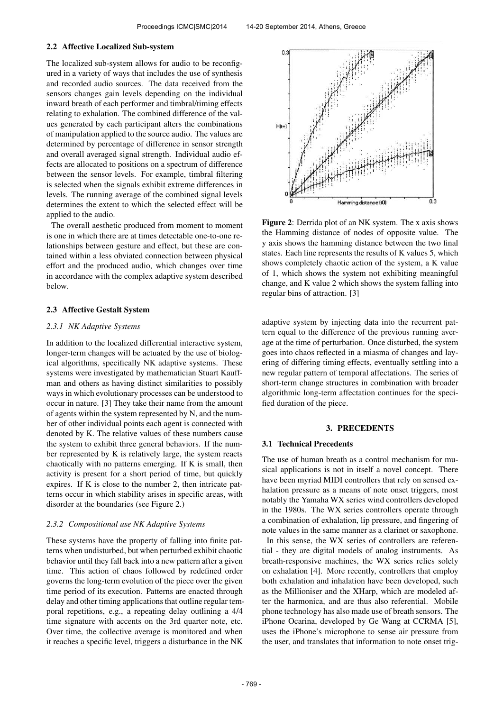#### 2.2 Affective Localized Sub-system

The localized sub-system allows for audio to be reconfigured in a variety of ways that includes the use of synthesis and recorded audio sources. The data received from the sensors changes gain levels depending on the individual inward breath of each performer and timbral/timing effects relating to exhalation. The combined difference of the values generated by each participant alters the combinations of manipulation applied to the source audio. The values are determined by percentage of difference in sensor strength and overall averaged signal strength. Individual audio effects are allocated to positions on a spectrum of difference between the sensor levels. For example, timbral filtering is selected when the signals exhibit extreme differences in levels. The running average of the combined signal levels determines the extent to which the selected effect will be applied to the audio.

The overall aesthetic produced from moment to moment is one in which there are at times detectable one-to-one relationships between gesture and effect, but these are contained within a less obviated connection between physical effort and the produced audio, which changes over time in accordance with the complex adaptive system described below.

#### 2.3 Affective Gestalt System

# *2.3.1 NK Adaptive Systems*

In addition to the localized differential interactive system, longer-term changes will be actuated by the use of biological algorithms, specifically NK adaptive systems. These systems were investigated by mathematician Stuart Kauffman and others as having distinct similarities to possibly ways in which evolutionary processes can be understood to occur in nature. [3] They take their name from the amount of agents within the system represented by N, and the number of other individual points each agent is connected with denoted by K. The relative values of these numbers cause the system to exhibit three general behaviors. If the number represented by K is relatively large, the system reacts chaotically with no patterns emerging. If K is small, then activity is present for a short period of time, but quickly expires. If K is close to the number 2, then intricate patterns occur in which stability arises in specific areas, with disorder at the boundaries (see Figure 2.)

#### *2.3.2 Compositional use NK Adaptive Systems*

These systems have the property of falling into finite patterns when undisturbed, but when perturbed exhibit chaotic behavior until they fall back into a new pattern after a given time. This action of chaos followed by redefined order governs the long-term evolution of the piece over the given time period of its execution. Patterns are enacted through delay and other timing applications that outline regular temporal repetitions, e.g., a repeating delay outlining a 4/4 time signature with accents on the 3rd quarter note, etc. Over time, the collective average is monitored and when it reaches a specific level, triggers a disturbance in the NK



Figure 2: Derrida plot of an NK system. The x axis shows the Hamming distance of nodes of opposite value. The y axis shows the hamming distance between the two final states. Each line represents the results of K values 5, which shows completely chaotic action of the system, a K value of 1, which shows the system not exhibiting meaningful change, and K value 2 which shows the system falling into regular bins of attraction. [3]

adaptive system by injecting data into the recurrent pattern equal to the difference of the previous running average at the time of perturbation. Once disturbed, the system goes into chaos reflected in a miasma of changes and layering of differing timing effects, eventually settling into a new regular pattern of temporal affectations. The series of short-term change structures in combination with broader algorithmic long-term affectation continues for the specified duration of the piece.

# 3. PRECEDENTS

#### 3.1 Technical Precedents

The use of human breath as a control mechanism for musical applications is not in itself a novel concept. There have been myriad MIDI controllers that rely on sensed exhalation pressure as a means of note onset triggers, most notably the Yamaha WX series wind controllers developed in the 1980s. The WX series controllers operate through a combination of exhalation, lip pressure, and fingering of note values in the same manner as a clarinet or saxophone.

In this sense, the WX series of controllers are referential - they are digital models of analog instruments. As breath-responsive machines, the WX series relies solely on exhalation [4]. More recently, controllers that employ both exhalation and inhalation have been developed, such as the Millioniser and the XHarp, which are modeled after the harmonica, and are thus also referential. Mobile phone technology has also made use of breath sensors. The iPhone Ocarina, developed by Ge Wang at CCRMA [5], uses the iPhone's microphone to sense air pressure from the user, and translates that information to note onset trig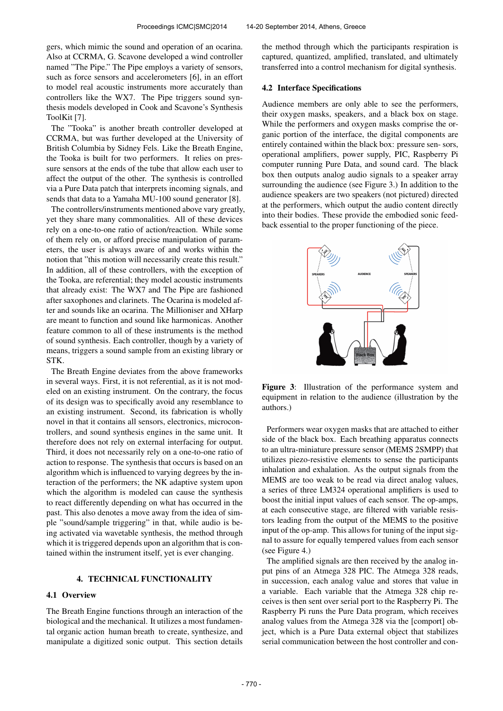gers, which mimic the sound and operation of an ocarina. Also at CCRMA, G. Scavone developed a wind controller named "The Pipe." The Pipe employs a variety of sensors, such as force sensors and accelerometers [6], in an effort to model real acoustic instruments more accurately than controllers like the WX7. The Pipe triggers sound synthesis models developed in Cook and Scavone's Synthesis ToolKit [7].

The "Tooka" is another breath controller developed at CCRMA, but was further developed at the University of British Columbia by Sidney Fels. Like the Breath Engine, the Tooka is built for two performers. It relies on pressure sensors at the ends of the tube that allow each user to affect the output of the other. The synthesis is controlled via a Pure Data patch that interprets incoming signals, and sends that data to a Yamaha MU-100 sound generator [8].

The controllers/instruments mentioned above vary greatly, yet they share many commonalities. All of these devices rely on a one-to-one ratio of action/reaction. While some of them rely on, or afford precise manipulation of parameters, the user is always aware of and works within the notion that "this motion will necessarily create this result." In addition, all of these controllers, with the exception of the Tooka, are referential; they model acoustic instruments that already exist: The WX7 and The Pipe are fashioned after saxophones and clarinets. The Ocarina is modeled after and sounds like an ocarina. The Millioniser and XHarp are meant to function and sound like harmonicas. Another feature common to all of these instruments is the method of sound synthesis. Each controller, though by a variety of means, triggers a sound sample from an existing library or STK.

The Breath Engine deviates from the above frameworks in several ways. First, it is not referential, as it is not modeled on an existing instrument. On the contrary, the focus of its design was to specifically avoid any resemblance to an existing instrument. Second, its fabrication is wholly novel in that it contains all sensors, electronics, microcontrollers, and sound synthesis engines in the same unit. It therefore does not rely on external interfacing for output. Third, it does not necessarily rely on a one-to-one ratio of action to response. The synthesis that occurs is based on an algorithm which is influenced to varying degrees by the interaction of the performers; the NK adaptive system upon which the algorithm is modeled can cause the synthesis to react differently depending on what has occurred in the past. This also denotes a move away from the idea of simple "sound/sample triggering" in that, while audio is being activated via wavetable synthesis, the method through which it is triggered depends upon an algorithm that is contained within the instrument itself, yet is ever changing.

# 4. TECHNICAL FUNCTIONALITY

# 4.1 Overview

The Breath Engine functions through an interaction of the biological and the mechanical. It utilizes a most fundamental organic action human breath to create, synthesize, and manipulate a digitized sonic output. This section details the method through which the participants respiration is captured, quantized, amplified, translated, and ultimately transferred into a control mechanism for digital synthesis.

### 4.2 Interface Specifications

Audience members are only able to see the performers, their oxygen masks, speakers, and a black box on stage. While the performers and oxygen masks comprise the organic portion of the interface, the digital components are entirely contained within the black box: pressure sen- sors, operational amplifiers, power supply, PIC, Raspberry Pi computer running Pure Data, and sound card. The black box then outputs analog audio signals to a speaker array surrounding the audience (see Figure 3.) In addition to the audience speakers are two speakers (not pictured) directed at the performers, which output the audio content directly into their bodies. These provide the embodied sonic feedback essential to the proper functioning of the piece.



Figure 3: Illustration of the performance system and equipment in relation to the audience (illustration by the authors.)

Performers wear oxygen masks that are attached to either side of the black box. Each breathing apparatus connects to an ultra-miniature pressure sensor (MEMS 2SMPP) that utilizes piezo-resistive elements to sense the participants inhalation and exhalation. As the output signals from the MEMS are too weak to be read via direct analog values, a series of three LM324 operational amplifiers is used to boost the initial input values of each sensor. The op-amps, at each consecutive stage, are filtered with variable resistors leading from the output of the MEMS to the positive input of the op-amp. This allows for tuning of the input signal to assure for equally tempered values from each sensor (see Figure 4.)

The amplified signals are then received by the analog input pins of an Atmega 328 PIC. The Atmega 328 reads, in succession, each analog value and stores that value in a variable. Each variable that the Atmega 328 chip receives is then sent over serial port to the Raspberry Pi. The Raspberry Pi runs the Pure Data program, which receives analog values from the Atmega 328 via the [comport] object, which is a Pure Data external object that stabilizes serial communication between the host controller and con-